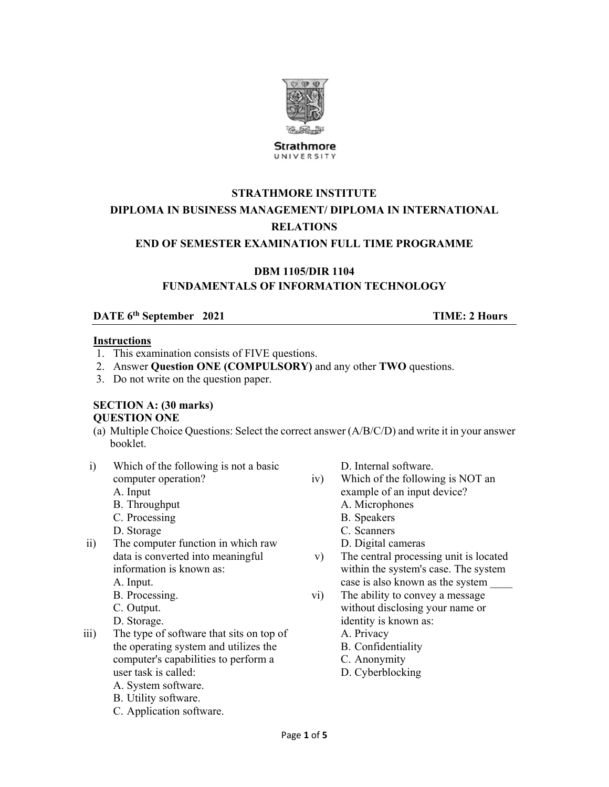

**Strathmore** UNIVERSITY

# **STRATHMORE INSTITUTE DIPLOMA IN BUSINESS MANAGEMENT/ DIPLOMA IN INTERNATIONAL RELATIONS**

### **END OF SEMESTER EXAMINATION FULL TIME PROGRAMME**

# **DBM 1105/DIR 1104**

## **FUNDAMENTALS OF INFORMATION TECHNOLOGY**

# **DATE 6<sup>th</sup> September 2021 TIME: 2 Hours**

#### **Instructions**

- 1. This examination consists of FIVE questions.
- 2. Answer **Question ONE (COMPULSORY)** and any other **TWO** questions.
- 3. Do not write on the question paper.

#### **SECTION A: (30 marks) QUESTION ONE**

- (a) Multiple Choice Questions: Select the correct answer (A/B/C/D) and write it in your answer booklet.
- i) Which of the following is not a basic computer operation?
	- A. Input
	- B. Throughput
	- C. Processing
	- D. Storage
- ii) The computer function in which raw data is converted into meaningful information is known as:
	- A. Input.
	- B. Processing.
	- C. Output.
	- D. Storage.
- iii) The type of software that sits on top of the operating system and utilizes the computer's capabilities to perform a user task is called:
	- A. System software.
	- B. Utility software.
	- C. Application software.

D. Internal software.

- iv) Which of the following is NOT an example of an input device? A. Microphones
	- B. Speakers
	-
	- C. Scanners
	- D. Digital cameras
- v) The central processing unit is located within the system's case. The system case is also known as the system \_\_\_\_
- vi) The ability to convey a message without disclosing your name or identity is known as: A. Privacy
	- B. Confidentiality
	- C. Anonymity
	- D. Cyberblocking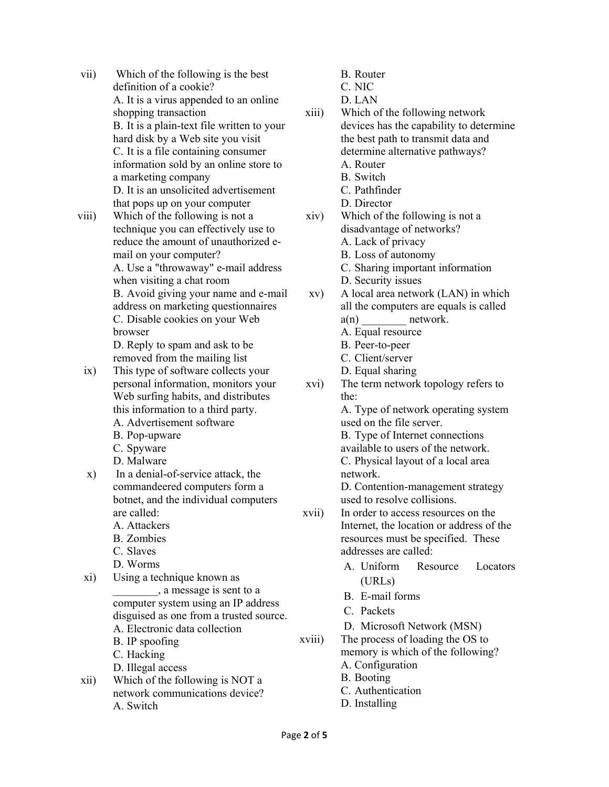- vii) Which of the following is the best definition of a cookie? A. It is a virus appended to an online shopping transaction B. It is a plain-text file written to your hard disk by a Web site you visit C. It is a file containing consumer information sold by an online store to a marketing company D. It is an unsolicited advertisement that pops up on your computer
- viii) Which of the following is not a technique you can effectively use to reduce the amount of unauthorized email on your computer? A. Use a "throwaway" e-mail address when visiting a chat room B. Avoid giving your name and e-mail address on marketing questionnaires C. Disable cookies on your Web browser D. Reply to spam and ask to be

removed from the mailing list

- ix) This type of software collects your personal information, monitors your Web surfing habits, and distributes this information to a third party. A. Advertisement software
	-
	- B. Pop-upware
	- C. Spyware
	- D. Malware
- x) In a denial-of-service attack, the commandeered computers form a botnet, and the individual computers are called:
	- A. Attackers
	- B. Zombies
	- C. Slaves
	- D. Worms
- xi) Using a technique known as \_\_\_\_\_\_\_\_, a message is sent to a computer system using an IP address disguised as one from a trusted source. A. Electronic data collection B. IP spoofing
	- C. Hacking
- D. Illegal access xii) Which of the following is NOT a network communications device?
	- A. Switch
- B. Router
- C. NIC
- D. LAN
- xiii) Which of the following network devices has the capability to determine the best path to transmit data and determine alternative pathways? A. Router B. Switch C. Pathfinder
	- D. Director
- xiv) Which of the following is not a disadvantage of networks? A. Lack of privacy
	- B. Loss of autonomy
	- C. Sharing important information
	- D. Security issues
- xv) A local area network (LAN) in which all the computers are equals is called  $a(n)$  network.
	- A. Equal resource
	- B. Peer-to-peer
	- C. Client/server
	- D. Equal sharing
- xvi) The term network topology refers to the:

A. Type of network operating system used on the file server.

B. Type of Internet connections available to users of the network. C. Physical layout of a local area network.

D. Contention-management strategy used to resolve collisions.

- xvii) In order to access resources on the Internet, the location or address of the resources must be specified. These addresses are called:
	- A. Uniform Resource Locators (URLs)
	- B. E-mail forms
	- C. Packets
	- D. Microsoft Network (MSN)
- xviii) The process of loading the OS to memory is which of the following?
	- A. Configuration
	- B. Booting
	- C. Authentication
	- D. Installing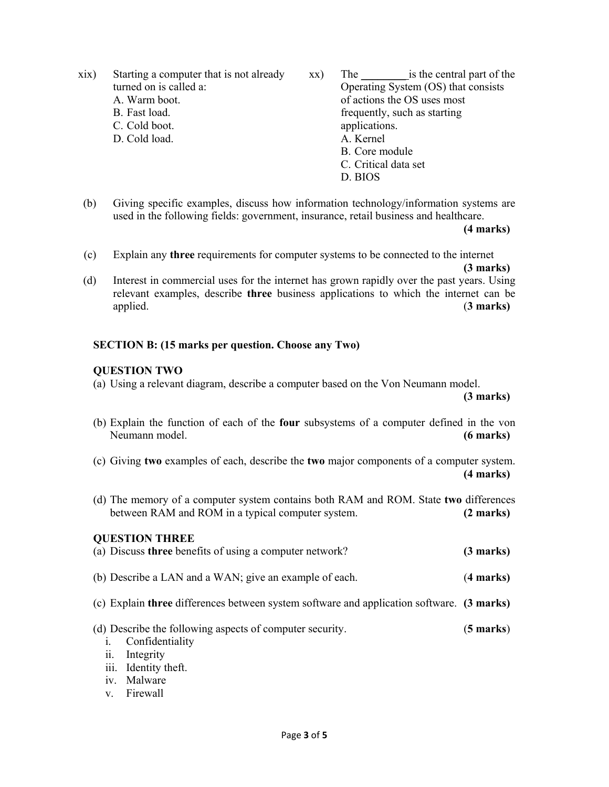xix) Starting a computer that is not already turned on is called a:

- A. Warm boot.
- B. Fast load.
- C. Cold boot.
- D. Cold load.
- xx) The is the central part of the Operating System (OS) that consists of actions the OS uses most frequently, such as starting applications. A. Kernel B. Core module C. Critical data set D. BIOS
- (b) Giving specific examples, discuss how information technology/information systems are used in the following fields: government, insurance, retail business and healthcare.

**(4 marks)** 

(c) Explain any **three** requirements for computer systems to be connected to the internet

- **(3 marks)** (d) Interest in commercial uses for the internet has grown rapidly over the past years. Using
- relevant examples, describe **three** business applications to which the internet can be applied. (**3 marks)**

#### **SECTION B: (15 marks per question. Choose any Two)**

#### **QUESTION TWO**

(a) Using a relevant diagram, describe a computer based on the Von Neumann model.

**(3 marks)** 

- (b) Explain the function of each of the **four** subsystems of a computer defined in the von Neumann model. **(6 marks)**
- (c) Giving **two** examples of each, describe the **two** major components of a computer system. **(4 marks)**
- (d) The memory of a computer system contains both RAM and ROM. State **two** differences between RAM and ROM in a typical computer system. **(2 marks)**

| <b>QUESTION THREE</b><br>(a) Discuss three benefits of using a computer network?          | $(3 \text{ marks})$ |
|-------------------------------------------------------------------------------------------|---------------------|
| (b) Describe a LAN and a WAN; give an example of each.                                    | $(4$ marks)         |
| (c) Explain three differences between system software and application software. (3 marks) |                     |
| (d) Describe the following aspects of computer security.<br>Confidentiality               | $(5 \text{ marks})$ |

- ii. Integrity
- iii. Identity theft.
- iv. Malware
- v. Firewall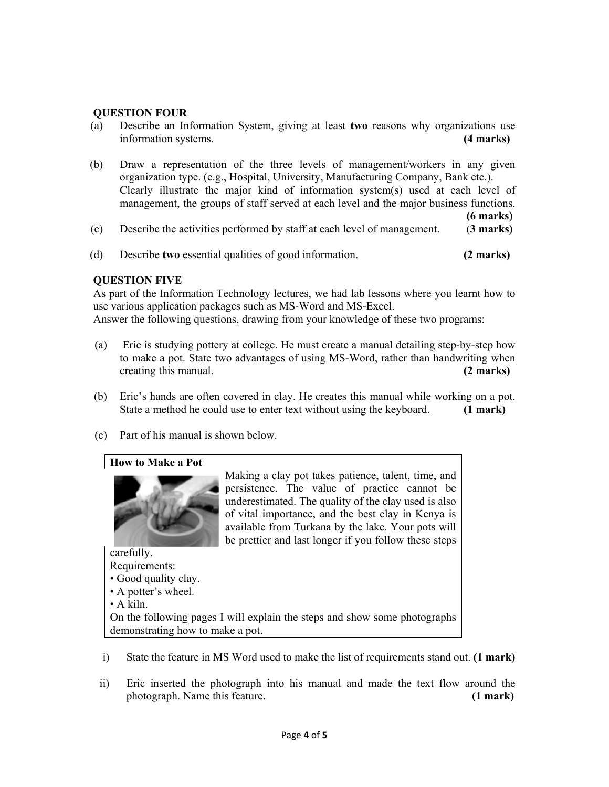#### **QUESTION FOUR**

- (a) Describe an Information System, giving at least **two** reasons why organizations use information systems. **(4 marks)**
- (b) Draw a representation of the three levels of management/workers in any given organization type. (e.g., Hospital, University, Manufacturing Company, Bank etc.). Clearly illustrate the major kind of information system(s) used at each level of management, the groups of staff served at each level and the major business functions.

**(6 marks)** 

- (c) Describe the activities performed by staff at each level of management. (**3 marks)**
- (d) Describe **two** essential qualities of good information. **(2 marks)**

#### **QUESTION FIVE**

As part of the Information Technology lectures, we had lab lessons where you learnt how to use various application packages such as MS-Word and MS-Excel. Answer the following questions, drawing from your knowledge of these two programs:

- (a) Eric is studying pottery at college. He must create a manual detailing step-by-step how to make a pot. State two advantages of using MS-Word, rather than handwriting when creating this manual. **(2 marks)**
- (b) Eric's hands are often covered in clay. He creates this manual while working on a pot. State a method he could use to enter text without using the keyboard. **(1 mark)**
- (c) Part of his manual is shown below.

#### **How to Make a Pot**



Making a clay pot takes patience, talent, time, and persistence. The value of practice cannot be underestimated. The quality of the clay used is also of vital importance, and the best clay in Kenya is available from Turkana by the lake. Your pots will be prettier and last longer if you follow these steps

carefully. Requirements: • Good quality clay. • A potter's wheel. • A kiln. On the following pages I will explain the steps and show some photographs demonstrating how to make a pot.

- i) State the feature in MS Word used to make the list of requirements stand out. **(1 mark)**
- ii) Eric inserted the photograph into his manual and made the text flow around the photograph. Name this feature. **(1 mark)**